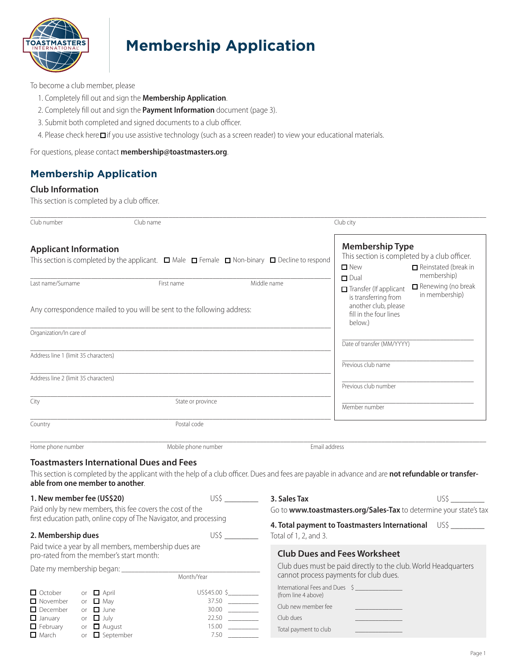

# **Membership Application**

To become a club member, please

- 1. Completely fill out and sign the **Membership Application**.
- 2. Completely fill out and sign the **Payment Information** document (page 3).
- 3. Submit both completed and signed documents to a club officer.
- 4. Please check here if you use assistive technology (such as a screen reader) to view your educational materials.

For questions, please contact **[membership@toastmasters.org](mailto:membership%40toastmasters.org?subject=)**.

## **Membership Application**

#### **Club Information**

This section is completed by a club officer.

| Club number                                                                                                |                                                           | Club name           |                                                                                                                                                      | Club city                                                                                                                  |                                                            |
|------------------------------------------------------------------------------------------------------------|-----------------------------------------------------------|---------------------|------------------------------------------------------------------------------------------------------------------------------------------------------|----------------------------------------------------------------------------------------------------------------------------|------------------------------------------------------------|
|                                                                                                            | <b>Applicant Information</b>                              |                     | This section is completed by the applicant. $\Box$ Male $\Box$ Female $\Box$ Non-binary $\Box$ Decline to respond                                    | <b>Membership Type</b><br>This section is completed by a club officer.<br><b>D</b> New                                     | $\Box$ Reinstated (break in                                |
| Last name/Surname<br>First name<br>Any correspondence mailed to you will be sent to the following address: |                                                           |                     | Middle name                                                                                                                                          | $\Box$ Dual<br>Transfer (If applicant<br>is transferring from<br>another club, please<br>fill in the four lines<br>below.) | membership)<br>$\Box$ Renewing (no break<br>in membership) |
| Organization/In care of                                                                                    |                                                           |                     |                                                                                                                                                      |                                                                                                                            |                                                            |
|                                                                                                            |                                                           |                     |                                                                                                                                                      | Date of transfer (MM/YYYY)                                                                                                 |                                                            |
| Address line 1 (limit 35 characters)                                                                       |                                                           |                     |                                                                                                                                                      | Previous club name                                                                                                         |                                                            |
| Address line 2 (limit 35 characters)                                                                       |                                                           |                     |                                                                                                                                                      | Previous club number                                                                                                       |                                                            |
| City                                                                                                       |                                                           | State or province   |                                                                                                                                                      | Member number                                                                                                              |                                                            |
| Country                                                                                                    |                                                           | Postal code         |                                                                                                                                                      |                                                                                                                            |                                                            |
| Home phone number                                                                                          | <b>Toastmasters International Dues and Fees</b>           | Mobile phone number | Email address                                                                                                                                        |                                                                                                                            |                                                            |
|                                                                                                            | able from one member to another.                          |                     | This section is completed by the applicant with the help of a club officer. Dues and fees are payable in advance and are not refundable or transfer- |                                                                                                                            |                                                            |
| 1. New member fee (US\$20)<br>Paid only by new members, this fee covers the cost of the                    |                                                           |                     | 3. Sales Tax                                                                                                                                         | Go to www.toastmasters.org/Sales-Tax to determine your state's tax                                                         |                                                            |
| first education path, online copy of The Navigator, and processing<br>2. Membership dues                   |                                                           |                     | Total of 1, 2, and 3.                                                                                                                                | 4. Total payment to Toastmasters International US\$ _________                                                              |                                                            |
| Paid twice a year by all members, membership dues are<br>pro-rated from the member's start month:          |                                                           |                     |                                                                                                                                                      | <b>Club Dues and Fees Worksheet</b>                                                                                        |                                                            |
| Date my membership began: __<br>Month/Year                                                                 |                                                           |                     |                                                                                                                                                      | Club dues must be paid directly to the club. World Headquarters<br>cannot process payments for club dues.                  |                                                            |
| □ October<br>□ November<br>$\Box$ December                                                                 | or $\Box$ April<br>or $\Box$ May<br>or $\Box$ June        | US\$45.00 \$        | (from line 4 above)<br>$37.50$<br>Club new member fee<br>$30.00$                                                                                     | International Fees and Dues \$                                                                                             |                                                            |
| $\Box$ January<br>$\Box$ February<br>$\Box$ March                                                          | or $\Box$ July<br>or $\Box$ August<br>or $\Box$ September | 7.50                | 22.50<br>Club dues<br>$15.00$<br>Total payment to club                                                                                               |                                                                                                                            |                                                            |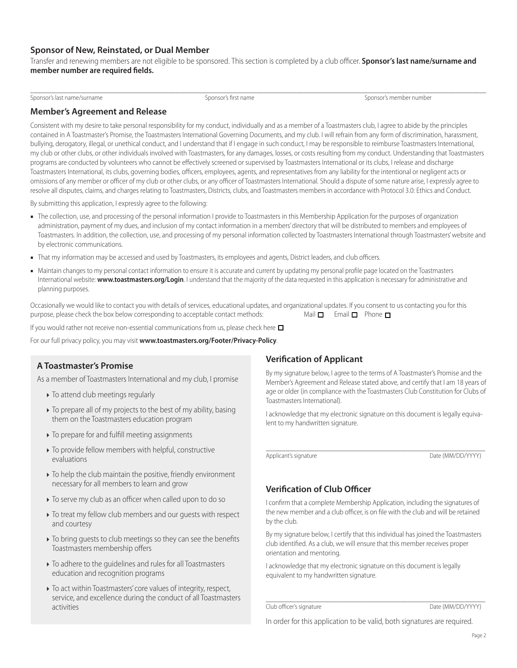#### **Sponsor of New, Reinstated, or Dual Member**

Transfer and renewing members are not eligible to be sponsored. This section is completed by a club officer. **Sponsor's last name/surname and member number are required fields.**

Sponsor's last name/surname Sponsor's first name Sponsor's first name Sponsor's member number number number number

 $\Box$ 

#### **Member's Agreement and Release**

Consistent with my desire to take personal responsibility for my conduct, individually and as a member of a Toastmasters club, I agree to abide by the principles contained in A Toastmaster's Promise, the Toastmasters International Governing Documents, and my club. I will refrain from any form of discrimination, harassment, bullying, derogatory, illegal, or unethical conduct, and I understand that if I engage in such conduct, I may be responsible to reimburse Toastmasters International, my club or other clubs, or other individuals involved with Toastmasters, for any damages, losses, or costs resulting from my conduct. Understanding that Toastmasters programs are conducted by volunteers who cannot be effectively screened or supervised by Toastmasters International or its clubs, I release and discharge Toastmasters International, its clubs, governing bodies, officers, employees, agents, and representatives from any liability for the intentional or negligent acts or omissions of any member or officer of my club or other clubs, or any officer of Toastmasters International. Should a dispute of some nature arise, I expressly agree to resolve all disputes, claims, and charges relating to Toastmasters, Districts, clubs, and Toastmasters members in accordance with Protocol 3.0: Ethics and Conduct.

By submitting this application, I expressly agree to the following:

- **■** The collection, use, and processing of the personal information I provide to Toastmasters in this Membership Application for the purposes of organization administration, payment of my dues, and inclusion of my contact information in a members' directory that will be distributed to members and employees of Toastmasters. In addition, the collection, use, and processing of my personal information collected by Toastmasters International through Toastmasters' website and by electronic communications.
- **■** That my information may be accessed and used by Toastmasters, its employees and agents, District leaders, and club officers.
- **■** Maintain changes to my personal contact information to ensure it is accurate and current by updating my personal profile page located on the Toastmasters International website: **[www.toastmasters.org/Login](https://www.toastmasters.org/login)**. I understand that the majority of the data requested in this application is necessary for administrative and planning purposes.

Occasionally we would like to contact you with details of services, educational updates, and organizational updates. If you consent to us contacting you for this purpose, please check the box below corresponding to acceptable contact methods: Mail  $\Box$  Email  $\Box$  Phone  $\Box$ 

If you would rather not receive non-essential communications from us, please check here  $\Box$ 

For our full privacy policy, you may visit **[www.toastmasters.org/Footer/Privacy-Policy](http://www.toastmasters.org/footer/privacy-policy)**.

#### **A Toastmaster's Promise**

As a member of Toastmasters International and my club, I promise

- $\triangleright$  To attend club meetings regularly
- $\triangleright$  To prepare all of my projects to the best of my ability, basing them on the Toastmasters education program
- $\triangleright$  To prepare for and fulfill meeting assignments
- To provide fellow members with helpful, constructive evaluations
- To help the club maintain the positive, friendly environment necessary for all members to learn and grow
- $\triangleright$  To serve my club as an officer when called upon to do so
- $\triangleright$  To treat my fellow club members and our guests with respect and courtesy
- $\triangleright$  To bring guests to club meetings so they can see the benefits Toastmasters membership offers
- To adhere to the guidelines and rules for all Toastmasters education and recognition programs
- To act within Toastmasters' core values of integrity, respect, service, and excellence during the conduct of all Toastmasters activities

#### **Verification of Applicant**

By my signature below, I agree to the terms of A Toastmaster's Promise and the Member's Agreement and Release stated above, and certify that I am 18 years of age or older (in compliance with the Toastmasters Club Constitution for Clubs of Toastmasters International).

I acknowledge that my electronic signature on this document is legally equivalent to my handwritten signature.

\_\_\_\_\_\_\_\_\_\_\_\_\_\_\_\_\_\_\_\_\_\_\_\_\_\_\_\_\_\_\_\_\_\_\_\_\_\_\_\_\_\_\_\_\_\_\_\_\_\_\_\_\_\_\_\_\_\_\_\_\_\_\_\_\_ Applicant's signature Date (MM/DD/YYYY)

#### **Verification of Club Officer**

I confirm that a complete Membership Application, including the signatures of the new member and a club officer, is on file with the club and will be retained by the club.

By my signature below, I certify that this individual has joined the Toastmasters club identified. As a club, we will ensure that this member receives proper orientation and mentoring.

I acknowledge that my electronic signature on this document is legally equivalent to my handwritten signature.

\_\_\_\_\_\_\_\_\_\_\_\_\_\_\_\_\_\_\_\_\_\_\_\_\_\_\_\_\_\_\_\_\_\_\_\_\_\_\_\_\_\_\_\_\_\_\_\_\_\_\_\_\_\_\_\_\_\_\_\_\_\_\_\_\_ Club officer's signature Date (MM/DD/YYYY)

In order for this application to be valid, both signatures are required.